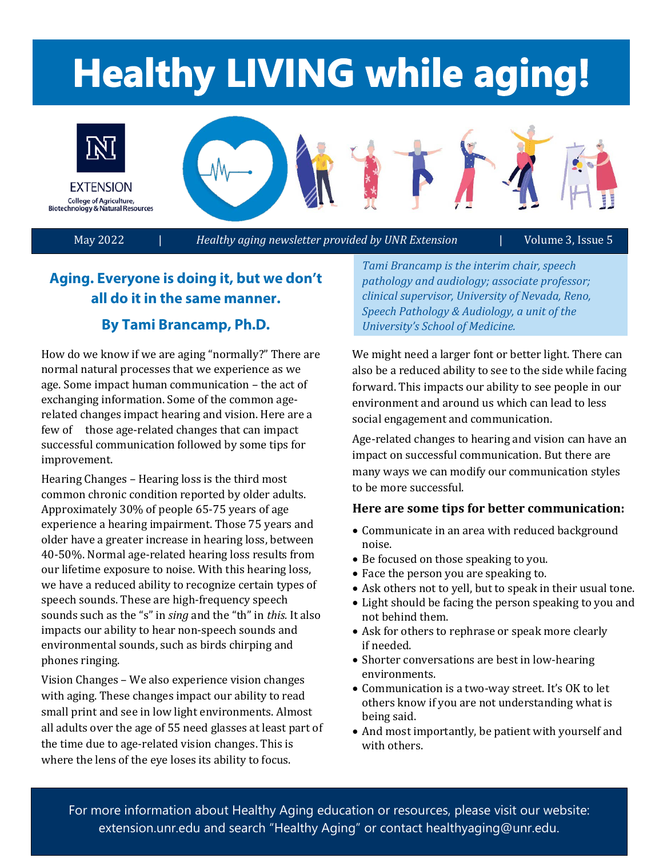# **Healthy LIVING while aging!**



May 2022 | *Healthy aging newsletter provided by UNR Extension* | Volume 3, Issue 5

# **Aging. Everyone is doing it, but we don't all do it in the same manner.**

### **By Tami Brancamp, Ph.D.**

 age. Some impact human communication – the act of few of those age-related changes that can impact How do we know if we are aging "normally?" There are normal natural processes that we experience as we exchanging information. Some of the common agerelated changes impact hearing and vision. Here are a successful communication followed by some tips for improvement.

 speech sounds. These are high-frequency speech Hearing Changes – Hearing loss is the third most common chronic condition reported by older adults. Approximately 30% of people 65-75 years of age experience a hearing impairment. Those 75 years and older have a greater increase in hearing loss, between 40-50%. Normal age-related hearing loss results from our lifetime exposure to noise. With this hearing loss, we have a reduced ability to recognize certain types of sounds such as the "s" in *sing* and the "th" in *this.* It also impacts our ability to hear non-speech sounds and environmental sounds, such as birds chirping and phones ringing.

Vision Changes - We also experience vision changes with aging. These changes impact our ability to read small print and see in low light environments. Almost all adults over the age of 55 need glasses at least part of the time due to age-related vision changes. This is where the lens of the eye loses its ability to focus.

*Tami Brancamp is the interim chair, speech pathology and audiology; associate professor; clinical supervisor, University of Nevada, Reno, Speech Pathology & Audiology, a unit of the University's School of Medicine.* 

We might need a larger font or better light. There can also be a reduced ability to see to the side while facing forward. This impacts our ability to see people in our environment and around us which can lead to less social engagement and communication.

many ways we can modify our communication styles<br>to be more successful. Age-related changes to hearing and vision can have an impact on successful communication. But there are

### **Here are some tips for better communication:**

- Communicate in an area with reduced background noise.
- Be focused on those speaking to you.
- Face the person you are speaking to.
- Ask others not to yell, but to speak in their usual tone.
- Light should be facing the person speaking to you and not behind them.
- Ask for others to rephrase or speak more clearly if needed.
- Shorter conversations are best in low-hearing environments.
- Communication is a two-way street. It's OK to let others know if you are not understanding what is being said.
- And most importantly, be patient with yourself and with others.

 extension.unr.edu and search "Healthy Aging" or contact healthyaging@unr.edu. For more information about Healthy Aging education or resources, please visit our website: